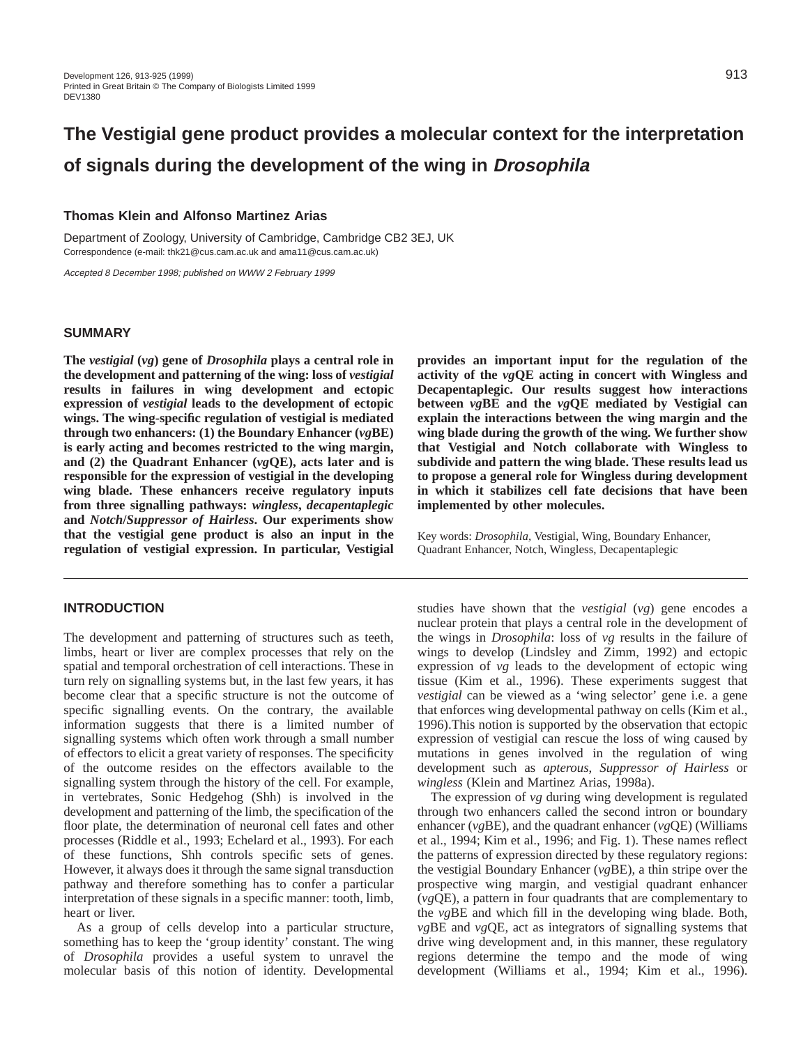# **The Vestigial gene product provides a molecular context for the interpretation of signals during the development of the wing in Drosophila**

# **Thomas Klein and Alfonso Martinez Arias**

Department of Zoology, University of Cambridge, Cambridge CB2 3EJ, UK Correspondence (e-mail: thk21@cus.cam.ac.uk and ama11@cus.cam.ac.uk)

Accepted 8 December 1998; published on WWW 2 February 1999

#### **SUMMARY**

**The** *vestigial* **(***vg***) gene of** *Drosophila* **plays a central role in the development and patterning of the wing: loss of** *vestigial* **results in failures in wing development and ectopic expression of** *vestigial* **leads to the development of ectopic wings. The wing-specific regulation of vestigial is mediated through two enhancers: (1) the Boundary Enhancer (***vg***BE) is early acting and becomes restricted to the wing margin, and (2) the Quadrant Enhancer (***vg***QE), acts later and is responsible for the expression of vestigial in the developing wing blade. These enhancers receive regulatory inputs from three signalling pathways:** *wingless***,** *decapentaplegic* **and** *Notch***/***Suppressor of Hairless***. Our experiments show that the vestigial gene product is also an input in the regulation of vestigial expression. In particular, Vestigial**

#### **INTRODUCTION**

The development and patterning of structures such as teeth, limbs, heart or liver are complex processes that rely on the spatial and temporal orchestration of cell interactions. These in turn rely on signalling systems but, in the last few years, it has become clear that a specific structure is not the outcome of specific signalling events. On the contrary, the available information suggests that there is a limited number of signalling systems which often work through a small number of effectors to elicit a great variety of responses. The specificity of the outcome resides on the effectors available to the signalling system through the history of the cell. For example, in vertebrates, Sonic Hedgehog (Shh) is involved in the development and patterning of the limb, the specification of the floor plate, the determination of neuronal cell fates and other processes (Riddle et al., 1993; Echelard et al., 1993). For each of these functions, Shh controls specific sets of genes. However, it always does it through the same signal transduction pathway and therefore something has to confer a particular interpretation of these signals in a specific manner: tooth, limb, heart or liver.

As a group of cells develop into a particular structure, something has to keep the 'group identity' constant. The wing of *Drosophila* provides a useful system to unravel the molecular basis of this notion of identity. Developmental

**provides an important input for the regulation of the activity of the** *vg***QE acting in concert with Wingless and Decapentaplegic. Our results suggest how interactions between** *vg***BE and the** *vg***QE mediated by Vestigial can explain the interactions between the wing margin and the wing blade during the growth of the wing. We further show that Vestigial and Notch collaborate with Wingless to subdivide and pattern the wing blade. These results lead us to propose a general role for Wingless during development in which it stabilizes cell fate decisions that have been implemented by other molecules.**

Key words: *Drosophila,* Vestigial, Wing, Boundary Enhancer, Quadrant Enhancer, Notch, Wingless, Decapentaplegic

studies have shown that the *vestigial* (*vg*) gene encodes a nuclear protein that plays a central role in the development of the wings in *Drosophila*: loss of *vg* results in the failure of wings to develop (Lindsley and Zimm, 1992) and ectopic expression of *vg* leads to the development of ectopic wing tissue (Kim et al., 1996). These experiments suggest that *vestigial* can be viewed as a 'wing selector' gene i.e. a gene that enforces wing developmental pathway on cells (Kim et al., 1996).This notion is supported by the observation that ectopic expression of vestigial can rescue the loss of wing caused by mutations in genes involved in the regulation of wing development such as *apterous*, *Suppressor of Hairless* or *wingless* (Klein and Martinez Arias, 1998a).

The expression of *vg* during wing development is regulated through two enhancers called the second intron or boundary enhancer (*vg*BE), and the quadrant enhancer (*vg*QE) (Williams et al., 1994; Kim et al., 1996; and Fig. 1). These names reflect the patterns of expression directed by these regulatory regions: the vestigial Boundary Enhancer (*vg*BE), a thin stripe over the prospective wing margin, and vestigial quadrant enhancer (*vg*QE), a pattern in four quadrants that are complementary to the *vg*BE and which fill in the developing wing blade. Both, *vg*BE and *vg*QE, act as integrators of signalling systems that drive wing development and, in this manner, these regulatory regions determine the tempo and the mode of wing development (Williams et al., 1994; Kim et al., 1996).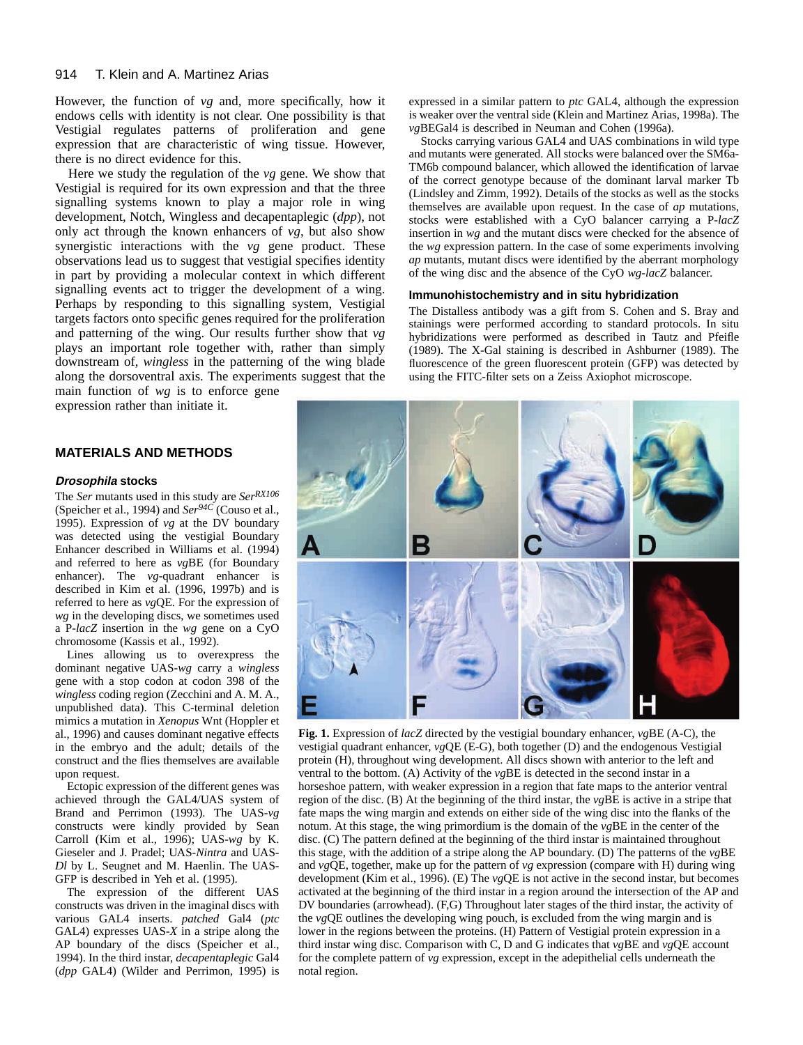#### 914 T. Klein and A. Martinez Arias

However, the function of *vg* and, more specifically, how it endows cells with identity is not clear. One possibility is that Vestigial regulates patterns of proliferation and gene expression that are characteristic of wing tissue. However, there is no direct evidence for this.

Here we study the regulation of the *vg* gene. We show that Vestigial is required for its own expression and that the three signalling systems known to play a major role in wing development, Notch, Wingless and decapentaplegic (*dpp*), not only act through the known enhancers of *vg*, but also show synergistic interactions with the *vg* gene product. These observations lead us to suggest that vestigial specifies identity in part by providing a molecular context in which different signalling events act to trigger the development of a wing. Perhaps by responding to this signalling system, Vestigial targets factors onto specific genes required for the proliferation and patterning of the wing. Our results further show that *vg* plays an important role together with, rather than simply downstream of, *wingless* in the patterning of the wing blade along the dorsoventral axis. The experiments suggest that the

main function of *wg* is to enforce gene expression rather than initiate it.

#### **MATERIALS AND METHODS**

#### **Drosophila stocks**

The *Ser* mutants used in this study are *SerRX106* (Speicher et al., 1994) and *Ser94C* (Couso et al., 1995). Expression of *vg* at the DV boundary was detected using the vestigial Boundary Enhancer described in Williams et al. (1994) and referred to here as *vg*BE (for Boundary enhancer). The *vg*-quadrant enhancer is described in Kim et al. (1996, 1997b) and is referred to here as *vg*QE. For the expression of *wg* in the developing discs, we sometimes used a P-*lacZ* insertion in the *wg* gene on a CyO chromosome (Kassis et al., 1992).

Lines allowing us to overexpress the dominant negative UAS-*wg* carry a *wingless* gene with a stop codon at codon 398 of the *wingless* coding region (Zecchini and A. M. A., unpublished data). This C-terminal deletion mimics a mutation in *Xenopus* Wnt (Hoppler et al., 1996) and causes dominant negative effects in the embryo and the adult; details of the construct and the flies themselves are available upon request.

Ectopic expression of the different genes was achieved through the GAL4/UAS system of Brand and Perrimon (1993). The UAS-*vg* constructs were kindly provided by Sean Carroll (Kim et al., 1996); UAS-*wg* by K. Gieseler and J. Pradel; UAS-*Nintra* and UAS-*Dl* by L. Seugnet and M. Haenlin. The UAS-GFP is described in Yeh et al. (1995).

The expression of the different UAS constructs was driven in the imaginal discs with various GAL4 inserts. *patched* Gal4 (*ptc* GAL4) expresses UAS-*X* in a stripe along the AP boundary of the discs (Speicher et al., 1994). In the third instar, *decapentaplegic* Gal4 (*dpp* GAL4) (Wilder and Perrimon, 1995) is expressed in a similar pattern to *ptc* GAL4, although the expression is weaker over the ventral side (Klein and Martinez Arias, 1998a). The *vg*BEGal4 is described in Neuman and Cohen (1996a).

Stocks carrying various GAL4 and UAS combinations in wild type and mutants were generated. All stocks were balanced over the SM6a-TM6b compound balancer, which allowed the identification of larvae of the correct genotype because of the dominant larval marker Tb (Lindsley and Zimm, 1992). Details of the stocks as well as the stocks themselves are available upon request. In the case of *ap* mutations, stocks were established with a CyO balancer carrying a P-*lacZ* insertion in *wg* and the mutant discs were checked for the absence of the *wg* expression pattern. In the case of some experiments involving *ap* mutants, mutant discs were identified by the aberrant morphology of the wing disc and the absence of the CyO *wg-lacZ* balancer.

#### **Immunohistochemistry and in situ hybridization**

The Distalless antibody was a gift from S. Cohen and S. Bray and stainings were performed according to standard protocols. In situ hybridizations were performed as described in Tautz and Pfeifle (1989). The X-Gal staining is described in Ashburner (1989). The fluorescence of the green fluorescent protein (GFP) was detected by using the FITC-filter sets on a Zeiss Axiophot microscope.



**Fig. 1.** Expression of *lacZ* directed by the vestigial boundary enhancer, *vg*BE (A-C), the vestigial quadrant enhancer, *vg*QE (E-G), both together (D) and the endogenous Vestigial protein (H), throughout wing development. All discs shown with anterior to the left and ventral to the bottom. (A) Activity of the *vg*BE is detected in the second instar in a horseshoe pattern, with weaker expression in a region that fate maps to the anterior ventral region of the disc. (B) At the beginning of the third instar, the *vg*BE is active in a stripe that fate maps the wing margin and extends on either side of the wing disc into the flanks of the notum. At this stage, the wing primordium is the domain of the *vg*BE in the center of the disc. (C) The pattern defined at the beginning of the third instar is maintained throughout this stage, with the addition of a stripe along the AP boundary. (D) The patterns of the *vg*BE and *vg*QE, together, make up for the pattern of *vg* expression (compare with H) during wing development (Kim et al., 1996). (E) The *vg*QE is not active in the second instar, but becomes activated at the beginning of the third instar in a region around the intersection of the AP and DV boundaries (arrowhead). (F,G) Throughout later stages of the third instar, the activity of the *vg*QE outlines the developing wing pouch, is excluded from the wing margin and is lower in the regions between the proteins. (H) Pattern of Vestigial protein expression in a third instar wing disc. Comparison with C, D and G indicates that *vg*BE and *vg*QE account for the complete pattern of *vg* expression, except in the adepithelial cells underneath the notal region.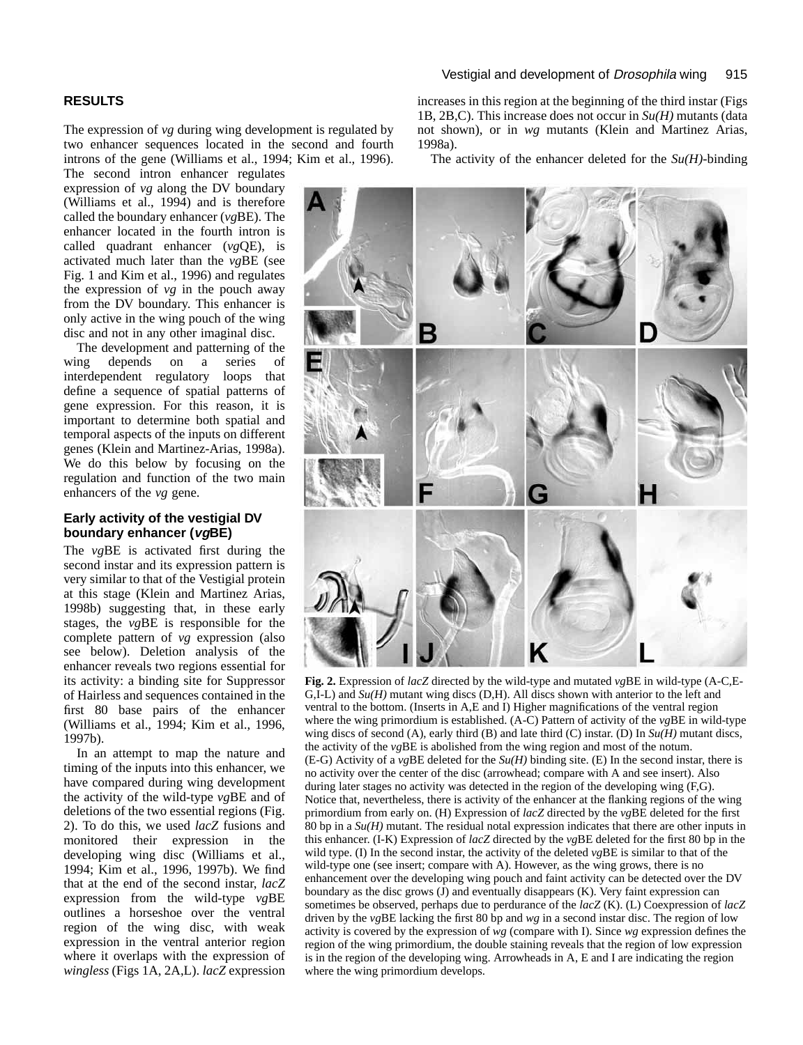# **RESULTS**

The expression of *vg* during wing development is regulated by two enhancer sequences located in the second and fourth introns of the gene (Williams et al., 1994; Kim et al., 1996).

The second intron enhancer regulates expression of *vg* along the DV boundary (Williams et al., 1994) and is therefore called the boundary enhancer (*vg*BE). The enhancer located in the fourth intron is called quadrant enhancer (*vg*QE), is activated much later than the *vg*BE (see Fig. 1 and Kim et al., 1996) and regulates the expression of *vg* in the pouch away from the DV boundary. This enhancer is only active in the wing pouch of the wing disc and not in any other imaginal disc.

The development and patterning of the wing depends on a series of interdependent regulatory loops that define a sequence of spatial patterns of gene expression. For this reason, it is important to determine both spatial and temporal aspects of the inputs on different genes (Klein and Martinez-Arias, 1998a). We do this below by focusing on the regulation and function of the two main enhancers of the *vg* gene.

#### **Early activity of the vestigial DV boundary enhancer (vgBE)**

The *vg*BE is activated first during the second instar and its expression pattern is very similar to that of the Vestigial protein at this stage (Klein and Martinez Arias, 1998b) suggesting that, in these early stages, the *vg*BE is responsible for the complete pattern of *vg* expression (also see below). Deletion analysis of the enhancer reveals two regions essential for its activity: a binding site for Suppressor of Hairless and sequences contained in the first 80 base pairs of the enhancer (Williams et al., 1994; Kim et al., 1996, 1997b).

In an attempt to map the nature and timing of the inputs into this enhancer, we have compared during wing development the activity of the wild-type *vg*BE and of deletions of the two essential regions (Fig. 2). To do this, we used *lacZ* fusions and monitored their expression in the developing wing disc (Williams et al., 1994; Kim et al., 1996, 1997b). We find that at the end of the second instar, *lacZ* expression from the wild-type *vg*BE outlines a horseshoe over the ventral region of the wing disc, with weak expression in the ventral anterior region where it overlaps with the expression of *wingless* (Figs 1A, 2A,L). *lacZ* expression increases in this region at the beginning of the third instar (Figs 1B, 2B,C). This increase does not occur in *Su(H)* mutants (data not shown), or in *wg* mutants (Klein and Martinez Arias, 1998a).

The activity of the enhancer deleted for the  $Su(H)$ -binding



**Fig. 2.** Expression of *lacZ* directed by the wild-type and mutated *vg*BE in wild-type (A-C,E-G,I-L) and *Su(H)* mutant wing discs (D,H). All discs shown with anterior to the left and ventral to the bottom. (Inserts in A,E and I) Higher magnifications of the ventral region where the wing primordium is established. (A-C) Pattern of activity of the *vg*BE in wild-type wing discs of second (A), early third (B) and late third (C) instar. (D) In *Su(H)* mutant discs, the activity of the *vg*BE is abolished from the wing region and most of the notum. (E-G) Activity of a *vg*BE deleted for the *Su(H)* binding site. (E) In the second instar, there is no activity over the center of the disc (arrowhead; compare with A and see insert). Also during later stages no activity was detected in the region of the developing wing (F,G). Notice that, nevertheless, there is activity of the enhancer at the flanking regions of the wing primordium from early on. (H) Expression of *lacZ* directed by the *vg*BE deleted for the first 80 bp in a *Su(H)* mutant. The residual notal expression indicates that there are other inputs in this enhancer. (I-K) Expression of *lacZ* directed by the *vg*BE deleted for the first 80 bp in the wild type. (I) In the second instar, the activity of the deleted *vg*BE is similar to that of the wild-type one (see insert; compare with A). However, as the wing grows, there is no enhancement over the developing wing pouch and faint activity can be detected over the DV boundary as the disc grows (J) and eventually disappears (K). Very faint expression can sometimes be observed, perhaps due to perdurance of the *lacZ* (K). (L) Coexpression of *lacZ* driven by the *vg*BE lacking the first 80 bp and *wg* in a second instar disc. The region of low activity is covered by the expression of *wg* (compare with I). Since *wg* expression defines the region of the wing primordium, the double staining reveals that the region of low expression is in the region of the developing wing. Arrowheads in A, E and I are indicating the region where the wing primordium develops.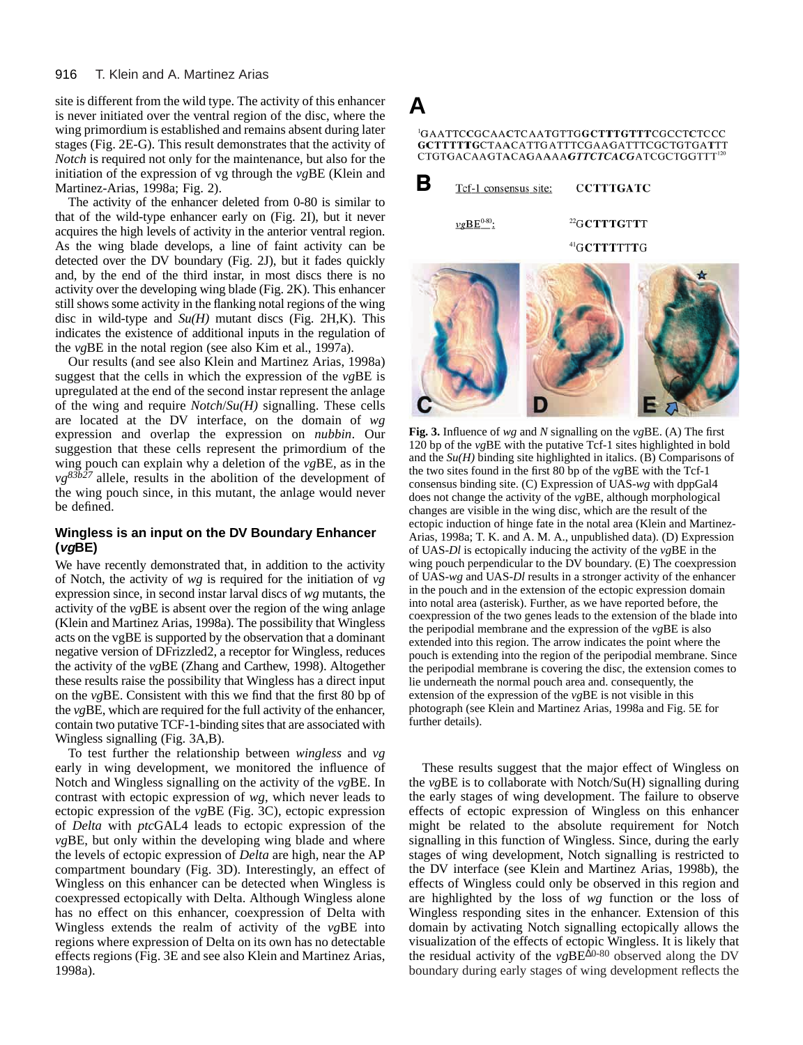site is different from the wild type. The activity of this enhancer is never initiated over the ventral region of the disc, where the wing primordium is established and remains absent during later stages (Fig. 2E-G). This result demonstrates that the activity of *Notch* is required not only for the maintenance, but also for the initiation of the expression of vg through the *vg*BE (Klein and Martinez-Arias, 1998a; Fig. 2).

The activity of the enhancer deleted from 0-80 is similar to that of the wild-type enhancer early on (Fig. 2I), but it never acquires the high levels of activity in the anterior ventral region. As the wing blade develops, a line of faint activity can be detected over the DV boundary (Fig. 2J), but it fades quickly and, by the end of the third instar, in most discs there is no activity over the developing wing blade (Fig. 2K). This enhancer still shows some activity in the flanking notal regions of the wing disc in wild-type and *Su(H)* mutant discs (Fig. 2H,K). This indicates the existence of additional inputs in the regulation of the *vg*BE in the notal region (see also Kim et al., 1997a).

Our results (and see also Klein and Martinez Arias, 1998a) suggest that the cells in which the expression of the *vg*BE is upregulated at the end of the second instar represent the anlage of the wing and require *Notch*/*Su(H)* signalling. These cells are located at the DV interface, on the domain of *wg* expression and overlap the expression on *nubbin*. Our suggestion that these cells represent the primordium of the wing pouch can explain why a deletion of the *vg*BE, as in the  $v g^{83b27}$  allele, results in the abolition of the development of the wing pouch since, in this mutant, the anlage would never be defined.

# **Wingless is an input on the DV Boundary Enhancer (vgBE)**

We have recently demonstrated that, in addition to the activity of Notch, the activity of *wg* is required for the initiation of *vg* expression since, in second instar larval discs of *wg* mutants, the activity of the *vg*BE is absent over the region of the wing anlage (Klein and Martinez Arias, 1998a). The possibility that Wingless acts on the vgBE is supported by the observation that a dominant negative version of DFrizzled2, a receptor for Wingless, reduces the activity of the *vg*BE (Zhang and Carthew, 1998). Altogether these results raise the possibility that Wingless has a direct input on the *vg*BE. Consistent with this we find that the first 80 bp of the *vg*BE, which are required for the full activity of the enhancer, contain two putative TCF-1-binding sites that are associated with Wingless signalling (Fig. 3A,B).

To test further the relationship between *wingless* and *vg* early in wing development, we monitored the influence of Notch and Wingless signalling on the activity of the *vg*BE. In contrast with ectopic expression of *wg*, which never leads to ectopic expression of the *vg*BE (Fig. 3C), ectopic expression of *Delta* with *ptc*GAL4 leads to ectopic expression of the *vg*BE, but only within the developing wing blade and where the levels of ectopic expression of *Delta* are high, near the AP compartment boundary (Fig. 3D). Interestingly, an effect of Wingless on this enhancer can be detected when Wingless is coexpressed ectopically with Delta. Although Wingless alone has no effect on this enhancer, coexpression of Delta with Wingless extends the realm of activity of the *vg*BE into regions where expression of Delta on its own has no detectable effects regions (Fig. 3E and see also Klein and Martinez Arias, 1998a).



**Fig. 3.** Influence of *wg* and *N* signalling on the *vg*BE. (A) The first 120 bp of the *vg*BE with the putative Tcf-1 sites highlighted in bold and the *Su(H)* binding site highlighted in italics. (B) Comparisons of the two sites found in the first 80 bp of the *vg*BE with the Tcf-1 consensus binding site. (C) Expression of UAS-*wg* with dppGal4 does not change the activity of the *vg*BE, although morphological changes are visible in the wing disc, which are the result of the ectopic induction of hinge fate in the notal area (Klein and Martinez-Arias, 1998a; T. K. and A. M. A., unpublished data). (D) Expression of UAS-*Dl* is ectopically inducing the activity of the *vg*BE in the wing pouch perpendicular to the DV boundary. (E) The coexpression of UAS-*wg* and UAS-*Dl* results in a stronger activity of the enhancer in the pouch and in the extension of the ectopic expression domain into notal area (asterisk). Further, as we have reported before, the coexpression of the two genes leads to the extension of the blade into the peripodial membrane and the expression of the *vg*BE is also extended into this region. The arrow indicates the point where the pouch is extending into the region of the peripodial membrane. Since the peripodial membrane is covering the disc, the extension comes to lie underneath the normal pouch area and. consequently, the extension of the expression of the *vg*BE is not visible in this photograph (see Klein and Martinez Arias, 1998a and Fig. 5E for further details).

These results suggest that the major effect of Wingless on the *vg*BE is to collaborate with Notch/Su(H) signalling during the early stages of wing development. The failure to observe effects of ectopic expression of Wingless on this enhancer might be related to the absolute requirement for Notch signalling in this function of Wingless. Since, during the early stages of wing development, Notch signalling is restricted to the DV interface (see Klein and Martinez Arias, 1998b), the effects of Wingless could only be observed in this region and are highlighted by the loss of *wg* function or the loss of Wingless responding sites in the enhancer. Extension of this domain by activating Notch signalling ectopically allows the visualization of the effects of ectopic Wingless. It is likely that the residual activity of the *vg*BE∆0-80 observed along the DV boundary during early stages of wing development reflects the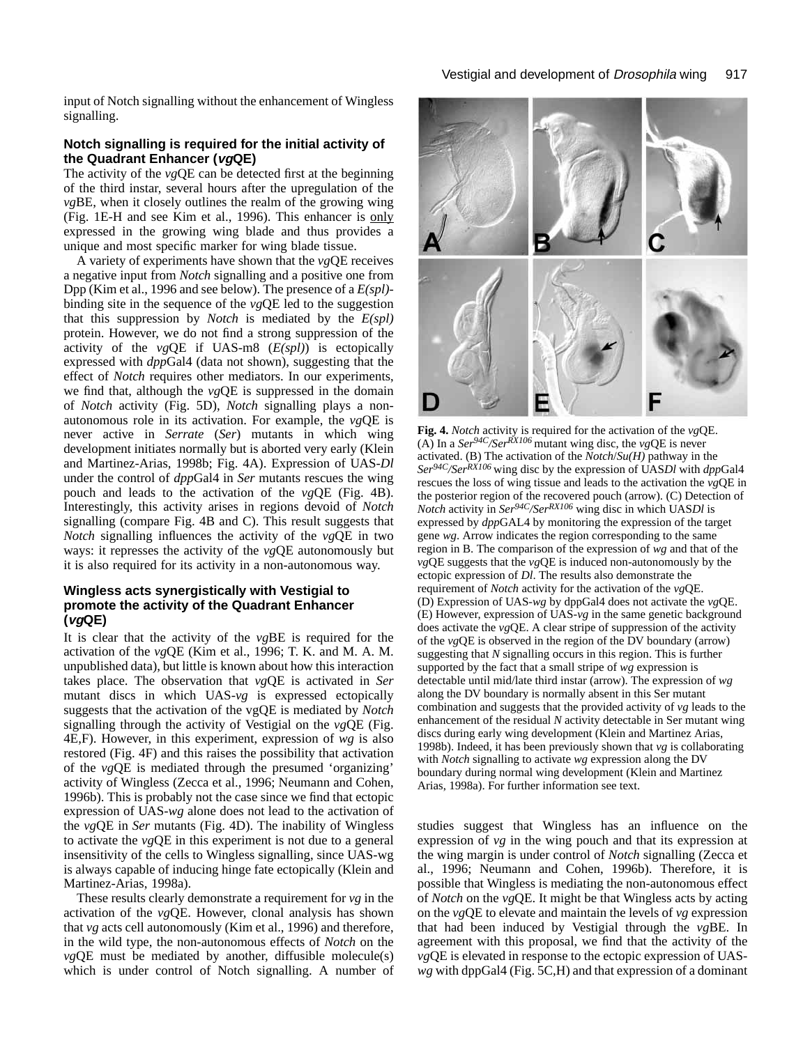input of Notch signalling without the enhancement of Wingless signalling.

#### **Notch signalling is required for the initial activity of the Quadrant Enhancer (vgQE)**

The activity of the *vg*QE can be detected first at the beginning of the third instar, several hours after the upregulation of the *vg*BE, when it closely outlines the realm of the growing wing (Fig. 1E-H and see Kim et al., 1996). This enhancer is only expressed in the growing wing blade and thus provides a unique and most specific marker for wing blade tissue.

A variety of experiments have shown that the *vg*QE receives a negative input from *Notch* signalling and a positive one from Dpp (Kim et al., 1996 and see below). The presence of a *E(spl)* binding site in the sequence of the *vg*QE led to the suggestion that this suppression by *Notch* is mediated by the *E(spl)* protein. However, we do not find a strong suppression of the activity of the *vg*QE if UAS-m8 (*E(spl)*) is ectopically expressed with *dpp*Gal4 (data not shown), suggesting that the effect of *Notch* requires other mediators. In our experiments, we find that, although the *vg*QE is suppressed in the domain of *Notch* activity (Fig. 5D), *Notch* signalling plays a nonautonomous role in its activation. For example, the *vg*QE is never active in *Serrate* (*Ser*) mutants in which wing development initiates normally but is aborted very early (Klein and Martinez-Arias, 1998b; Fig. 4A). Expression of UAS-*Dl* under the control of *dpp*Gal4 in *Ser* mutants rescues the wing pouch and leads to the activation of the *vg*QE (Fig. 4B). Interestingly, this activity arises in regions devoid of *Notch* signalling (compare Fig. 4B and C). This result suggests that *Notch* signalling influences the activity of the *vg*QE in two ways: it represses the activity of the *vg*QE autonomously but it is also required for its activity in a non-autonomous way.

### **Wingless acts synergistically with Vestigial to promote the activity of the Quadrant Enhancer (vgQE)**

It is clear that the activity of the *vg*BE is required for the activation of the *vg*QE (Kim et al., 1996; T. K. and M. A. M. unpublished data), but little is known about how this interaction takes place. The observation that *vg*QE is activated in *Ser* mutant discs in which UAS-*vg* is expressed ectopically suggests that the activation of the vgQE is mediated by *Notch* signalling through the activity of Vestigial on the *vg*QE (Fig. 4E,F). However, in this experiment, expression of *wg* is also restored (Fig. 4F) and this raises the possibility that activation of the *vg*QE is mediated through the presumed 'organizing' activity of Wingless (Zecca et al., 1996; Neumann and Cohen, 1996b). This is probably not the case since we find that ectopic expression of UAS-*wg* alone does not lead to the activation of the *vg*QE in *Ser* mutants (Fig. 4D). The inability of Wingless to activate the *vg*QE in this experiment is not due to a general insensitivity of the cells to Wingless signalling, since UAS-wg is always capable of inducing hinge fate ectopically (Klein and Martinez-Arias, 1998a).

These results clearly demonstrate a requirement for *vg* in the activation of the *vg*QE. However, clonal analysis has shown that *vg* acts cell autonomously (Kim et al., 1996) and therefore, in the wild type, the non-autonomous effects of *Notch* on the *vg*QE must be mediated by another, diffusible molecule(s) which is under control of Notch signalling. A number of



**Fig. 4.** *Notch* activity is required for the activation of the *vg*QE. (A) In a *Ser94C/SerRX106* mutant wing disc, the *vg*QE is never activated. (B) The activation of the *Notch*/*Su(H)* pathway in the *Ser94C/SerRX106* wing disc by the expression of UAS*Dl* with *dpp*Gal4 rescues the loss of wing tissue and leads to the activation the *vg*QE in the posterior region of the recovered pouch (arrow). (C) Detection of *Notch* activity in *Ser94C/SerRX106* wing disc in which UAS*Dl* is expressed by *dpp*GAL4 by monitoring the expression of the target gene *wg*. Arrow indicates the region corresponding to the same region in B. The comparison of the expression of *wg* and that of the *vg*QE suggests that the *vg*QE is induced non-autonomously by the ectopic expression of *Dl*. The results also demonstrate the requirement of *Notch* activity for the activation of the *vg*QE. (D) Expression of UAS-*wg* by dppGal4 does not activate the *vg*QE. (E) However, expression of UAS-*vg* in the same genetic background does activate the *vg*QE. A clear stripe of suppression of the activity of the *vg*QE is observed in the region of the DV boundary (arrow) suggesting that *N* signalling occurs in this region. This is further supported by the fact that a small stripe of *wg* expression is detectable until mid/late third instar (arrow). The expression of *wg* along the DV boundary is normally absent in this Ser mutant combination and suggests that the provided activity of *vg* leads to the enhancement of the residual *N* activity detectable in Ser mutant wing discs during early wing development (Klein and Martinez Arias, 1998b). Indeed, it has been previously shown that *vg* is collaborating with *Notch* signalling to activate *wg* expression along the DV boundary during normal wing development (Klein and Martinez Arias, 1998a). For further information see text.

studies suggest that Wingless has an influence on the expression of *vg* in the wing pouch and that its expression at the wing margin is under control of *Notch* signalling (Zecca et al., 1996; Neumann and Cohen, 1996b). Therefore, it is possible that Wingless is mediating the non-autonomous effect of *Notch* on the *vg*QE. It might be that Wingless acts by acting on the *vg*QE to elevate and maintain the levels of *vg* expression that had been induced by Vestigial through the *vg*BE. In agreement with this proposal, we find that the activity of the *vg*QE is elevated in response to the ectopic expression of UAS*wg* with dppGal4 (Fig. 5C,H) and that expression of a dominant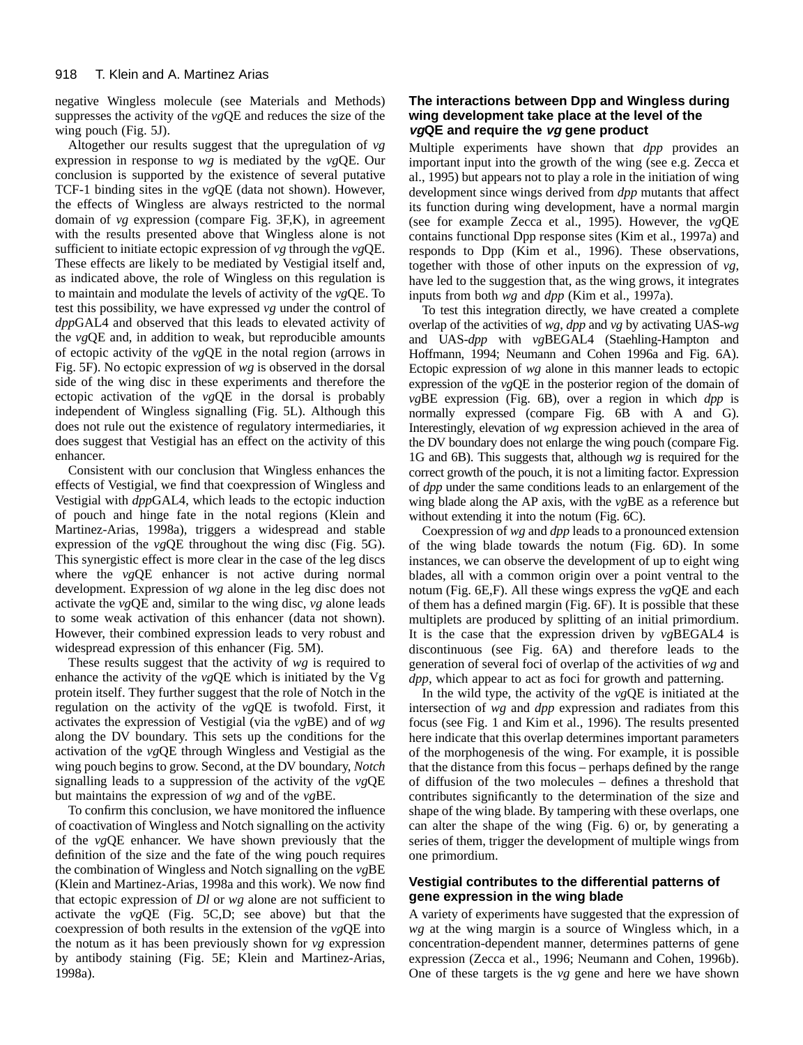negative Wingless molecule (see Materials and Methods) suppresses the activity of the *vg*QE and reduces the size of the wing pouch (Fig. 5J).

Altogether our results suggest that the upregulation of *vg* expression in response to *wg* is mediated by the *vg*QE. Our conclusion is supported by the existence of several putative TCF-1 binding sites in the *vg*QE (data not shown). However, the effects of Wingless are always restricted to the normal domain of *vg* expression (compare Fig. 3F,K), in agreement with the results presented above that Wingless alone is not sufficient to initiate ectopic expression of *vg* through the *vg*QE. These effects are likely to be mediated by Vestigial itself and, as indicated above, the role of Wingless on this regulation is to maintain and modulate the levels of activity of the *vg*QE. To test this possibility, we have expressed *vg* under the control of *dpp*GAL4 and observed that this leads to elevated activity of the *vg*QE and, in addition to weak, but reproducible amounts of ectopic activity of the *vg*QE in the notal region (arrows in Fig. 5F). No ectopic expression of *wg* is observed in the dorsal side of the wing disc in these experiments and therefore the ectopic activation of the *vg*QE in the dorsal is probably independent of Wingless signalling (Fig. 5L). Although this does not rule out the existence of regulatory intermediaries, it does suggest that Vestigial has an effect on the activity of this enhancer.

Consistent with our conclusion that Wingless enhances the effects of Vestigial, we find that coexpression of Wingless and Vestigial with *dpp*GAL4, which leads to the ectopic induction of pouch and hinge fate in the notal regions (Klein and Martinez-Arias, 1998a), triggers a widespread and stable expression of the *vg*QE throughout the wing disc (Fig. 5G). This synergistic effect is more clear in the case of the leg discs where the *vg*QE enhancer is not active during normal development. Expression of *wg* alone in the leg disc does not activate the *vg*QE and, similar to the wing disc, *vg* alone leads to some weak activation of this enhancer (data not shown). However, their combined expression leads to very robust and widespread expression of this enhancer (Fig. 5M).

These results suggest that the activity of *wg* is required to enhance the activity of the *vg*QE which is initiated by the Vg protein itself. They further suggest that the role of Notch in the regulation on the activity of the *vg*QE is twofold. First, it activates the expression of Vestigial (via the *vg*BE) and of *wg* along the DV boundary. This sets up the conditions for the activation of the *vg*QE through Wingless and Vestigial as the wing pouch begins to grow. Second, at the DV boundary, *Notch* signalling leads to a suppression of the activity of the *vg*QE but maintains the expression of *wg* and of the *vg*BE.

To confirm this conclusion, we have monitored the influence of coactivation of Wingless and Notch signalling on the activity of the *vg*QE enhancer. We have shown previously that the definition of the size and the fate of the wing pouch requires the combination of Wingless and Notch signalling on the *vg*BE (Klein and Martinez-Arias, 1998a and this work). We now find that ectopic expression of *Dl* or *wg* alone are not sufficient to activate the *vg*QE (Fig. 5C,D; see above) but that the coexpression of both results in the extension of the *vg*QE into the notum as it has been previously shown for *vg* expression by antibody staining (Fig. 5E; Klein and Martinez-Arias, 1998a).

# **The interactions between Dpp and Wingless during wing development take place at the level of the vgQE and require the vg gene product**

Multiple experiments have shown that *dpp* provides an important input into the growth of the wing (see e.g. Zecca et al., 1995) but appears not to play a role in the initiation of wing development since wings derived from *dpp* mutants that affect its function during wing development, have a normal margin (see for example Zecca et al., 1995). However, the *vg*QE contains functional Dpp response sites (Kim et al., 1997a) and responds to Dpp (Kim et al., 1996). These observations, together with those of other inputs on the expression of *vg*, have led to the suggestion that, as the wing grows, it integrates inputs from both *wg* and *dpp* (Kim et al., 1997a).

To test this integration directly, we have created a complete overlap of the activities of *wg*, *dpp* and *vg* by activating UAS-*wg* and UAS-*dpp* with *vg*BEGAL4 (Staehling-Hampton and Hoffmann, 1994; Neumann and Cohen 1996a and Fig. 6A). Ectopic expression of *wg* alone in this manner leads to ectopic expression of the *vg*QE in the posterior region of the domain of *vg*BE expression (Fig. 6B), over a region in which *dpp* is normally expressed (compare Fig. 6B with A and G). Interestingly, elevation of *wg* expression achieved in the area of the DV boundary does not enlarge the wing pouch (compare Fig. 1G and 6B). This suggests that, although *wg* is required for the correct growth of the pouch, it is not a limiting factor. Expression of *dpp* under the same conditions leads to an enlargement of the wing blade along the AP axis, with the *vg*BE as a reference but without extending it into the notum (Fig. 6C).

Coexpression of *wg* and *dpp* leads to a pronounced extension of the wing blade towards the notum (Fig. 6D). In some instances, we can observe the development of up to eight wing blades, all with a common origin over a point ventral to the notum (Fig. 6E,F). All these wings express the *vg*QE and each of them has a defined margin (Fig. 6F). It is possible that these multiplets are produced by splitting of an initial primordium. It is the case that the expression driven by *vg*BEGAL4 is discontinuous (see Fig. 6A) and therefore leads to the generation of several foci of overlap of the activities of *wg* and *dpp*, which appear to act as foci for growth and patterning.

In the wild type, the activity of the *vg*QE is initiated at the intersection of *wg* and *dpp* expression and radiates from this focus (see Fig. 1 and Kim et al., 1996). The results presented here indicate that this overlap determines important parameters of the morphogenesis of the wing. For example, it is possible that the distance from this focus – perhaps defined by the range of diffusion of the two molecules – defines a threshold that contributes significantly to the determination of the size and shape of the wing blade. By tampering with these overlaps, one can alter the shape of the wing (Fig. 6) or, by generating a series of them, trigger the development of multiple wings from one primordium.

# **Vestigial contributes to the differential patterns of gene expression in the wing blade**

A variety of experiments have suggested that the expression of *wg* at the wing margin is a source of Wingless which, in a concentration-dependent manner, determines patterns of gene expression (Zecca et al., 1996; Neumann and Cohen, 1996b). One of these targets is the *vg* gene and here we have shown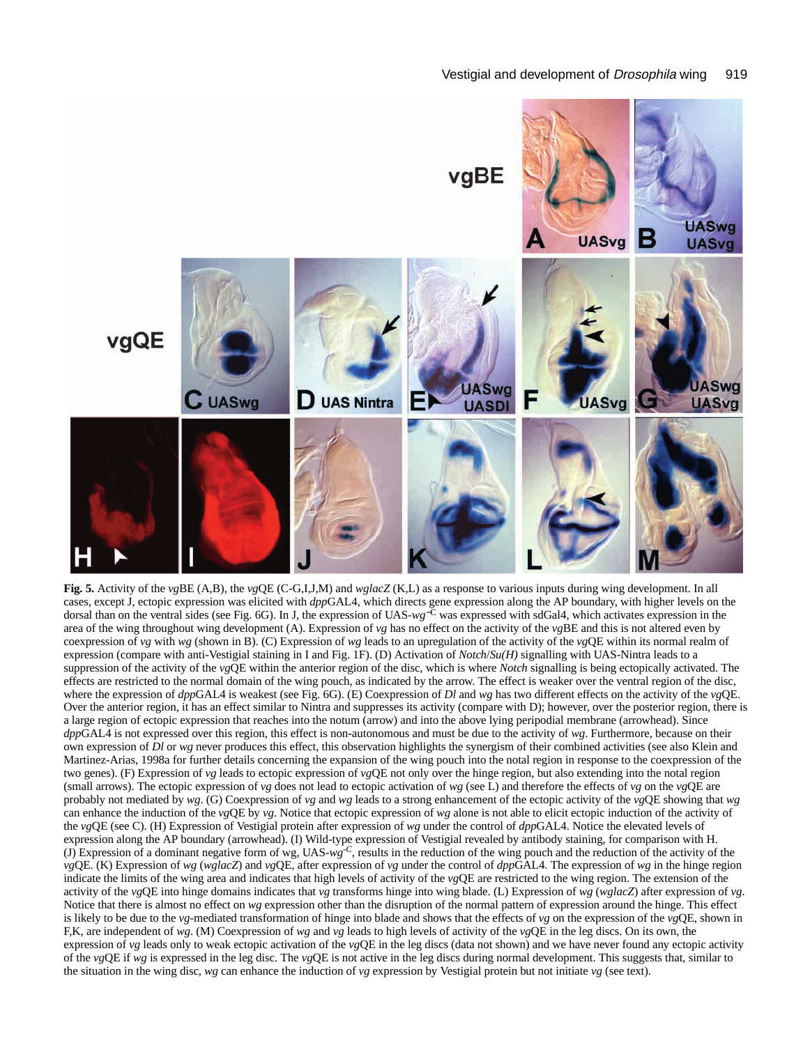

**Fig. 5.** Activity of the *vg*BE (A,B), the *vg*QE (C-G,I,J,M) and *wglacZ* (K,L) as a response to various inputs during wing development. In all cases, except J, ectopic expression was elicited with *dpp*GAL4, which directs gene expression along the AP boundary, with higher levels on the dorsal than on the ventral sides (see Fig. 6G). In J, the expression of UAS-*wg*−<sup>C</sup> was expressed with sdGal4, which activates expression in the area of the wing throughout wing development (A). Expression of *vg* has no effect on the activity of the *vg*BE and this is not altered even by coexpression of *vg* with *wg* (shown in B). (C) Expression of *wg* leads to an upregulation of the activity of the *vg*QE within its normal realm of expression (compare with anti-Vestigial staining in I and Fig. 1F). (D) Activation of *Notch*/*Su(H)* signalling with UAS-Nintra leads to a suppression of the activity of the *vg*QE within the anterior region of the disc, which is where *Notch* signalling is being ectopically activated. The effects are restricted to the normal domain of the wing pouch, as indicated by the arrow. The effect is weaker over the ventral region of the disc, where the expression of *dpp*GAL4 is weakest (see Fig. 6G). (E) Coexpression of *Dl* and *wg* has two different effects on the activity of the *vg*QE. Over the anterior region, it has an effect similar to Nintra and suppresses its activity (compare with D); however, over the posterior region, there is a large region of ectopic expression that reaches into the notum (arrow) and into the above lying peripodial membrane (arrowhead). Since *dpp*GAL4 is not expressed over this region, this effect is non-autonomous and must be due to the activity of *wg*. Furthermore, because on their own expression of *Dl* or *wg* never produces this effect, this observation highlights the synergism of their combined activities (see also Klein and Martinez-Arias, 1998a for further details concerning the expansion of the wing pouch into the notal region in response to the coexpression of the two genes). (F) Expression of *vg* leads to ectopic expression of *vg*QE not only over the hinge region, but also extending into the notal region (small arrows). The ectopic expression of *vg* does not lead to ectopic activation of *wg* (see L) and therefore the effects of *vg* on the *vg*QE are probably not mediated by *wg*. (G) Coexpression of *vg* and *wg* leads to a strong enhancement of the ectopic activity of the *vg*QE showing that *wg* can enhance the induction of the *vg*QE by *vg*. Notice that ectopic expression of *wg* alone is not able to elicit ectopic induction of the activity of the *vg*QE (see C). (H) Expression of Vestigial protein after expression of *wg* under the control of *dpp*GAL4. Notice the elevated levels of expression along the AP boundary (arrowhead). (I) Wild-type expression of Vestigial revealed by antibody staining, for comparison with H. (J) Expression of a dominant negative form of wg, UAS-*wg-C*, results in the reduction of the wing pouch and the reduction of the activity of the *vg*QE. (K) Expression of *wg* (*wglacZ*) and *vg*QE, after expression of *vg* under the control of *dpp*GAL4. The expression of *wg* in the hinge region indicate the limits of the wing area and indicates that high levels of activity of the *vg*QE are restricted to the wing region. The extension of the activity of the *vg*QE into hinge domains indicates that *vg* transforms hinge into wing blade. (L) Expression of *wg* (*wglacZ*) after expression of *vg*. Notice that there is almost no effect on *wg* expression other than the disruption of the normal pattern of expression around the hinge. This effect is likely to be due to the *vg*-mediated transformation of hinge into blade and shows that the effects of *vg* on the expression of the *vg*QE, shown in F,K, are independent of *wg*. (M) Coexpression of *wg* and *vg* leads to high levels of activity of the *vg*QE in the leg discs. On its own, the expression of *vg* leads only to weak ectopic activation of the *vg*QE in the leg discs (data not shown) and we have never found any ectopic activity of the *vg*QE if *wg* is expressed in the leg disc. The *vg*QE is not active in the leg discs during normal development. This suggests that, similar to the situation in the wing disc, *wg* can enhance the induction of *vg* expression by Vestigial protein but not initiate *vg* (see text).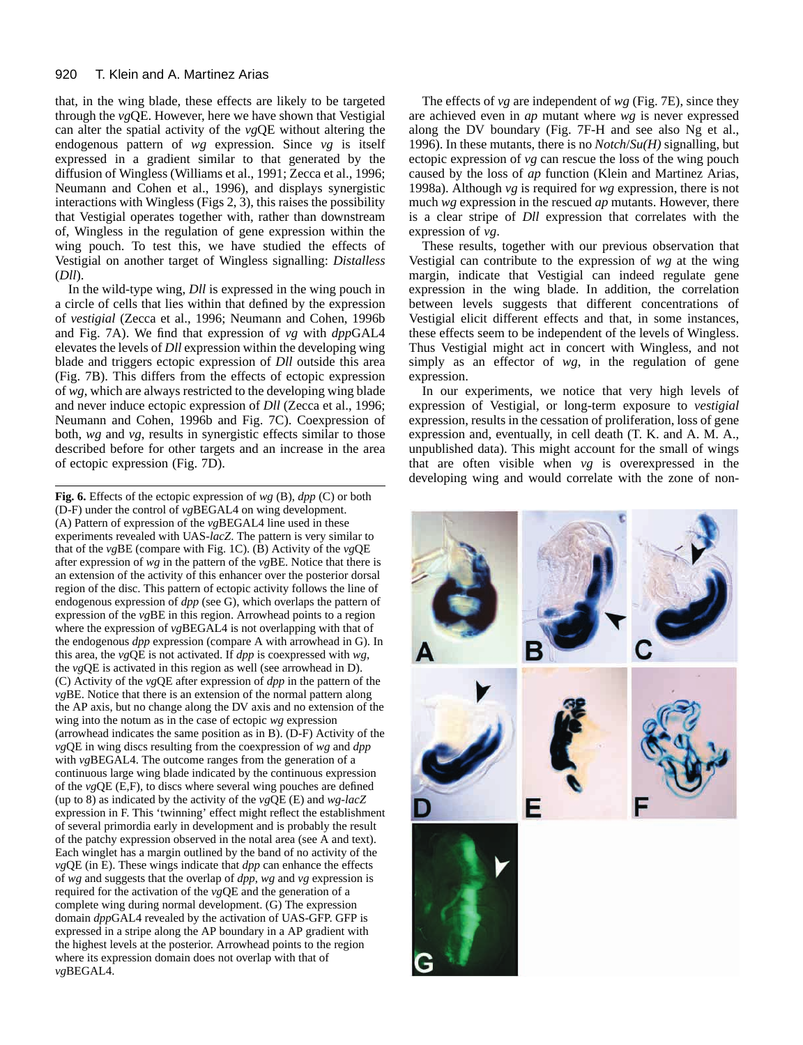#### 920 T. Klein and A. Martinez Arias

that, in the wing blade, these effects are likely to be targeted through the *vg*QE. However, here we have shown that Vestigial can alter the spatial activity of the *vg*QE without altering the endogenous pattern of *wg* expression. Since *vg* is itself expressed in a gradient similar to that generated by the diffusion of Wingless (Williams et al., 1991; Zecca et al., 1996; Neumann and Cohen et al., 1996), and displays synergistic interactions with Wingless (Figs 2, 3), this raises the possibility that Vestigial operates together with, rather than downstream of, Wingless in the regulation of gene expression within the wing pouch. To test this, we have studied the effects of Vestigial on another target of Wingless signalling: *Distalless* (*Dll*).

In the wild-type wing, *Dll* is expressed in the wing pouch in a circle of cells that lies within that defined by the expression of *vestigial* (Zecca et al., 1996; Neumann and Cohen, 1996b and Fig. 7A). We find that expression of *vg* with *dpp*GAL4 elevates the levels of *Dll* expression within the developing wing blade and triggers ectopic expression of *Dll* outside this area (Fig. 7B). This differs from the effects of ectopic expression of *wg*, which are always restricted to the developing wing blade and never induce ectopic expression of *Dll* (Zecca et al., 1996; Neumann and Cohen, 1996b and Fig. 7C). Coexpression of both, *wg* and *vg*, results in synergistic effects similar to those described before for other targets and an increase in the area of ectopic expression (Fig. 7D).

**Fig. 6.** Effects of the ectopic expression of *wg* (B), *dpp* (C) or both (D-F) under the control of *vg*BEGAL4 on wing development. (A) Pattern of expression of the *vg*BEGAL4 line used in these experiments revealed with UAS*-lacZ*. The pattern is very similar to that of the *vg*BE (compare with Fig. 1C). (B) Activity of the *vg*QE after expression of *wg* in the pattern of the *vg*BE. Notice that there is an extension of the activity of this enhancer over the posterior dorsal region of the disc. This pattern of ectopic activity follows the line of endogenous expression of *dpp* (see G), which overlaps the pattern of expression of the *vg*BE in this region. Arrowhead points to a region where the expression of *vg*BEGAL4 is not overlapping with that of the endogenous *dpp* expression (compare A with arrowhead in G). In this area, the *vg*QE is not activated. If *dpp* is coexpressed with *wg*, the *vg*QE is activated in this region as well (see arrowhead in D). (C) Activity of the *vg*QE after expression of *dpp* in the pattern of the *vg*BE. Notice that there is an extension of the normal pattern along the AP axis, but no change along the DV axis and no extension of the wing into the notum as in the case of ectopic *wg* expression (arrowhead indicates the same position as in B). (D-F) Activity of the *vg*QE in wing discs resulting from the coexpression of *wg* and *dpp* with *vg*BEGAL4. The outcome ranges from the generation of a continuous large wing blade indicated by the continuous expression of the *vg*QE (E,F), to discs where several wing pouches are defined (up to 8) as indicated by the activity of the *vg*QE (E) and *wg*-*lacZ* expression in F. This 'twinning' effect might reflect the establishment of several primordia early in development and is probably the result of the patchy expression observed in the notal area (see A and text). Each winglet has a margin outlined by the band of no activity of the *vg*QE (in E). These wings indicate that *dpp* can enhance the effects of *wg* and suggests that the overlap of *dpp*, *wg* and *vg* expression is required for the activation of the *vg*QE and the generation of a complete wing during normal development. (G) The expression domain *dpp*GAL4 revealed by the activation of UAS-GFP. GFP is expressed in a stripe along the AP boundary in a AP gradient with the highest levels at the posterior. Arrowhead points to the region where its expression domain does not overlap with that of *vg*BEGAL4.

The effects of *vg* are independent of *wg* (Fig. 7E), since they are achieved even in *ap* mutant where *wg* is never expressed along the DV boundary (Fig. 7F-H and see also Ng et al., 1996). In these mutants, there is no *Notch*/*Su(H)* signalling, but ectopic expression of *vg* can rescue the loss of the wing pouch caused by the loss of *ap* function (Klein and Martinez Arias, 1998a). Although *vg* is required for *wg* expression, there is not much *wg* expression in the rescued *ap* mutants. However, there is a clear stripe of *Dll* expression that correlates with the expression of *vg*.

These results, together with our previous observation that Vestigial can contribute to the expression of *wg* at the wing margin, indicate that Vestigial can indeed regulate gene expression in the wing blade. In addition, the correlation between levels suggests that different concentrations of Vestigial elicit different effects and that, in some instances, these effects seem to be independent of the levels of Wingless. Thus Vestigial might act in concert with Wingless, and not simply as an effector of *wg*, in the regulation of gene expression.

In our experiments, we notice that very high levels of expression of Vestigial, or long-term exposure to *vestigial* expression, results in the cessation of proliferation, loss of gene expression and, eventually, in cell death (T. K. and A. M. A., unpublished data). This might account for the small of wings that are often visible when *vg* is overexpressed in the developing wing and would correlate with the zone of non-

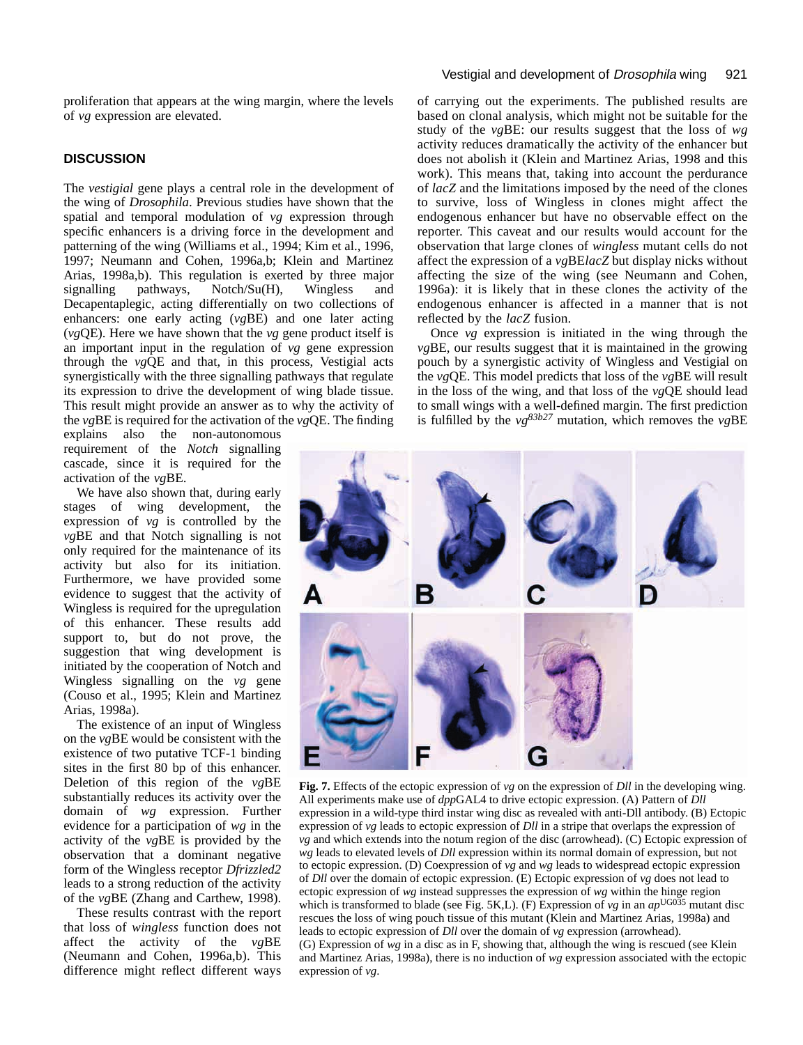proliferation that appears at the wing margin, where the levels of *vg* expression are elevated.

# **DISCUSSION**

The *vestigial* gene plays a central role in the development of the wing of *Drosophila*. Previous studies have shown that the spatial and temporal modulation of *vg* expression through specific enhancers is a driving force in the development and patterning of the wing (Williams et al., 1994; Kim et al., 1996, 1997; Neumann and Cohen, 1996a,b; Klein and Martinez Arias, 1998a,b). This regulation is exerted by three major signalling pathways, Notch/Su(H), Wingless and Decapentaplegic, acting differentially on two collections of enhancers: one early acting (*vg*BE) and one later acting (*vg*QE). Here we have shown that the *vg* gene product itself is an important input in the regulation of *vg* gene expression through the *vg*QE and that, in this process, Vestigial acts synergistically with the three signalling pathways that regulate its expression to drive the development of wing blade tissue. This result might provide an answer as to why the activity of the *vg*BE is required for the activation of the *vg*QE. The finding

explains also the non-autonomous requirement of the *Notch* signalling cascade, since it is required for the activation of the *vg*BE.

We have also shown that, during early stages of wing development, the expression of *vg* is controlled by the *vg*BE and that Notch signalling is not only required for the maintenance of its activity but also for its initiation. Furthermore, we have provided some evidence to suggest that the activity of Wingless is required for the upregulation of this enhancer. These results add support to, but do not prove, the suggestion that wing development is initiated by the cooperation of Notch and Wingless signalling on the *vg* gene (Couso et al., 1995; Klein and Martinez Arias, 1998a).

The existence of an input of Wingless on the *vg*BE would be consistent with the existence of two putative TCF-1 binding sites in the first 80 bp of this enhancer. Deletion of this region of the *vg*BE substantially reduces its activity over the domain of *wg* expression. Further evidence for a participation of *wg* in the activity of the *vg*BE is provided by the observation that a dominant negative form of the Wingless receptor *Dfrizzled2* leads to a strong reduction of the activity of the *vg*BE (Zhang and Carthew, 1998).

These results contrast with the report that loss of *wingless* function does not affect the activity of the *vg*BE (Neumann and Cohen, 1996a,b). This difference might reflect different ways

# Vestigial and development of *Drosophila* wing 921

of carrying out the experiments. The published results are based on clonal analysis, which might not be suitable for the study of the *vg*BE: our results suggest that the loss of *wg* activity reduces dramatically the activity of the enhancer but does not abolish it (Klein and Martinez Arias, 1998 and this work). This means that, taking into account the perdurance of *lacZ* and the limitations imposed by the need of the clones to survive, loss of Wingless in clones might affect the endogenous enhancer but have no observable effect on the reporter. This caveat and our results would account for the observation that large clones of *wingless* mutant cells do not affect the expression of a *vg*BE*lacZ* but display nicks without affecting the size of the wing (see Neumann and Cohen, 1996a): it is likely that in these clones the activity of the endogenous enhancer is affected in a manner that is not reflected by the *lacZ* fusion.

Once *vg* expression is initiated in the wing through the *vg*BE, our results suggest that it is maintained in the growing pouch by a synergistic activity of Wingless and Vestigial on the *vg*QE. This model predicts that loss of the *vg*BE will result in the loss of the wing, and that loss of the *vg*QE should lead to small wings with a well-defined margin. The first prediction is fulfilled by the *vg83b27* mutation, which removes the *vg*BE



**Fig. 7.** Effects of the ectopic expression of *vg* on the expression of *Dll* in the developing wing. All experiments make use of *dpp*GAL4 to drive ectopic expression. (A) Pattern of *Dll* expression in a wild-type third instar wing disc as revealed with anti-Dll antibody. (B) Ectopic expression of *vg* leads to ectopic expression of *Dll* in a stripe that overlaps the expression of *vg* and which extends into the notum region of the disc (arrowhead). (C) Ectopic expression of *wg* leads to elevated levels of *Dll* expression within its normal domain of expression, but not to ectopic expression. (D) Coexpression of *vg* and *wg* leads to widespread ectopic expression of *Dll* over the domain of ectopic expression. (E) Ectopic expression of *vg* does not lead to ectopic expression of *wg* instead suppresses the expression of *wg* within the hinge region which is transformed to blade (see Fig. 5K,L). (F) Expression of  $vg$  in an  $ap^{\text{UGO35}}$  mutant disc rescues the loss of wing pouch tissue of this mutant (Klein and Martinez Arias, 1998a) and leads to ectopic expression of *Dll* over the domain of *vg* expression (arrowhead). (G) Expression of *wg* in a disc as in F, showing that, although the wing is rescued (see Klein and Martinez Arias, 1998a), there is no induction of *wg* expression associated with the ectopic expression of *vg*.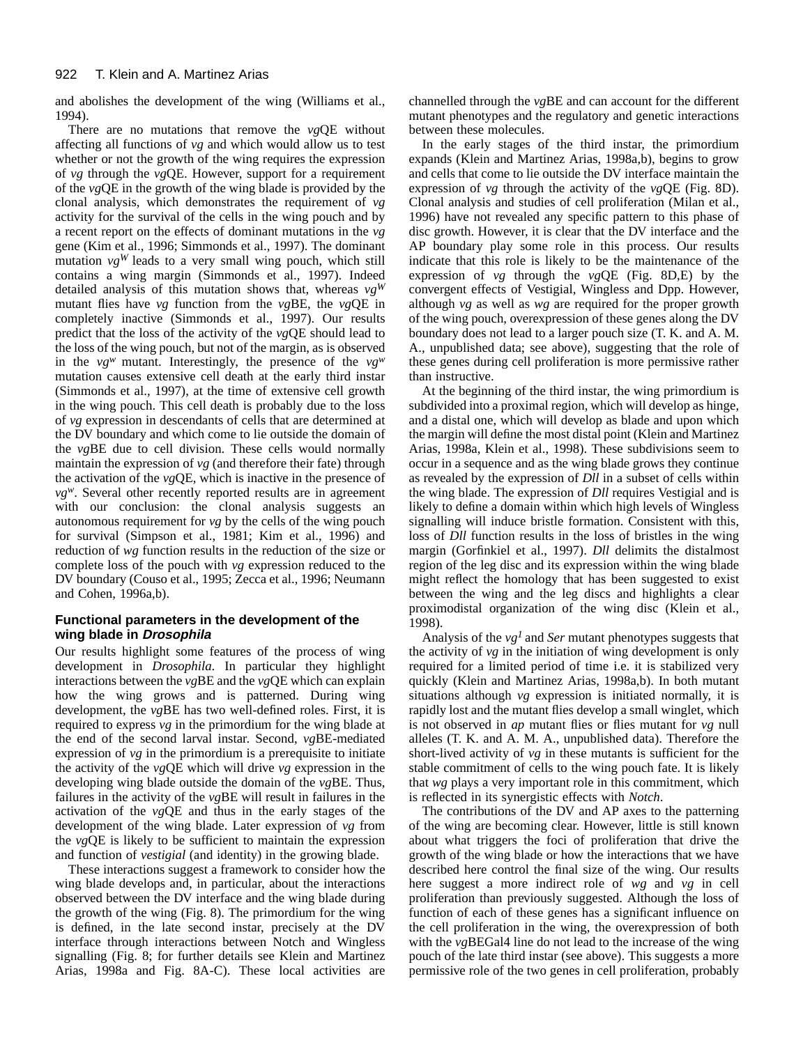and abolishes the development of the wing (Williams et al., 1994).

There are no mutations that remove the *vg*QE without affecting all functions of *vg* and which would allow us to test whether or not the growth of the wing requires the expression of *vg* through the *vg*QE. However, support for a requirement of the *vg*QE in the growth of the wing blade is provided by the clonal analysis, which demonstrates the requirement of *vg* activity for the survival of the cells in the wing pouch and by a recent report on the effects of dominant mutations in the *vg* gene (Kim et al., 1996; Simmonds et al., 1997). The dominant mutation  $v g^W$  leads to a very small wing pouch, which still contains a wing margin (Simmonds et al., 1997). Indeed detailed analysis of this mutation shows that, whereas *vgW* mutant flies have *vg* function from the *vg*BE, the *vg*QE in completely inactive (Simmonds et al., 1997). Our results predict that the loss of the activity of the *vg*QE should lead to the loss of the wing pouch, but not of the margin, as is observed in the  $vg^w$  mutant. Interestingly, the presence of the  $vg^w$ mutation causes extensive cell death at the early third instar (Simmonds et al., 1997), at the time of extensive cell growth in the wing pouch. This cell death is probably due to the loss of *vg* expression in descendants of cells that are determined at the DV boundary and which come to lie outside the domain of the *vg*BE due to cell division. These cells would normally maintain the expression of *vg* (and therefore their fate) through the activation of the *vg*QE, which is inactive in the presence of *vgw*. Several other recently reported results are in agreement with our conclusion: the clonal analysis suggests an autonomous requirement for *vg* by the cells of the wing pouch for survival (Simpson et al., 1981; Kim et al., 1996) and reduction of *wg* function results in the reduction of the size or complete loss of the pouch with *vg* expression reduced to the DV boundary (Couso et al., 1995; Zecca et al., 1996; Neumann and Cohen, 1996a,b).

# **Functional parameters in the development of the wing blade in Drosophila**

Our results highlight some features of the process of wing development in *Drosophila*. In particular they highlight interactions between the *vg*BE and the *vg*QE which can explain how the wing grows and is patterned. During wing development, the *vg*BE has two well-defined roles. First, it is required to express *vg* in the primordium for the wing blade at the end of the second larval instar. Second, *vg*BE-mediated expression of *vg* in the primordium is a prerequisite to initiate the activity of the *vg*QE which will drive *vg* expression in the developing wing blade outside the domain of the *vg*BE. Thus, failures in the activity of the *vg*BE will result in failures in the activation of the *vg*QE and thus in the early stages of the development of the wing blade. Later expression of *vg* from the *vg*QE is likely to be sufficient to maintain the expression and function of *vestigial* (and identity) in the growing blade.

These interactions suggest a framework to consider how the wing blade develops and, in particular, about the interactions observed between the DV interface and the wing blade during the growth of the wing (Fig. 8). The primordium for the wing is defined, in the late second instar, precisely at the DV interface through interactions between Notch and Wingless signalling (Fig. 8; for further details see Klein and Martinez Arias, 1998a and Fig. 8A-C). These local activities are channelled through the *vg*BE and can account for the different mutant phenotypes and the regulatory and genetic interactions between these molecules.

In the early stages of the third instar, the primordium expands (Klein and Martinez Arias, 1998a,b), begins to grow and cells that come to lie outside the DV interface maintain the expression of *vg* through the activity of the *vg*QE (Fig. 8D). Clonal analysis and studies of cell proliferation (Milan et al., 1996) have not revealed any specific pattern to this phase of disc growth. However, it is clear that the DV interface and the AP boundary play some role in this process. Our results indicate that this role is likely to be the maintenance of the expression of *vg* through the *vg*QE (Fig. 8D,E) by the convergent effects of Vestigial, Wingless and Dpp. However, although *vg* as well as *wg* are required for the proper growth of the wing pouch, overexpression of these genes along the DV boundary does not lead to a larger pouch size (T. K. and A. M. A., unpublished data; see above), suggesting that the role of these genes during cell proliferation is more permissive rather than instructive.

At the beginning of the third instar, the wing primordium is subdivided into a proximal region, which will develop as hinge, and a distal one, which will develop as blade and upon which the margin will define the most distal point (Klein and Martinez Arias, 1998a, Klein et al., 1998). These subdivisions seem to occur in a sequence and as the wing blade grows they continue as revealed by the expression of *Dll* in a subset of cells within the wing blade. The expression of *Dll* requires Vestigial and is likely to define a domain within which high levels of Wingless signalling will induce bristle formation. Consistent with this, loss of *Dll* function results in the loss of bristles in the wing margin (Gorfinkiel et al., 1997). *Dll* delimits the distalmost region of the leg disc and its expression within the wing blade might reflect the homology that has been suggested to exist between the wing and the leg discs and highlights a clear proximodistal organization of the wing disc (Klein et al., 1998).

Analysis of the *vg<sup>1</sup>* and *Ser* mutant phenotypes suggests that the activity of *vg* in the initiation of wing development is only required for a limited period of time i.e. it is stabilized very quickly (Klein and Martinez Arias, 1998a,b). In both mutant situations although *vg* expression is initiated normally, it is rapidly lost and the mutant flies develop a small winglet, which is not observed in *ap* mutant flies or flies mutant for *vg* null alleles (T. K. and A. M. A., unpublished data). Therefore the short-lived activity of *vg* in these mutants is sufficient for the stable commitment of cells to the wing pouch fate. It is likely that *wg* plays a very important role in this commitment, which is reflected in its synergistic effects with *Notch*.

The contributions of the DV and AP axes to the patterning of the wing are becoming clear. However, little is still known about what triggers the foci of proliferation that drive the growth of the wing blade or how the interactions that we have described here control the final size of the wing. Our results here suggest a more indirect role of *wg* and *vg* in cell proliferation than previously suggested. Although the loss of function of each of these genes has a significant influence on the cell proliferation in the wing, the overexpression of both with the *vg*BEGal4 line do not lead to the increase of the wing pouch of the late third instar (see above). This suggests a more permissive role of the two genes in cell proliferation, probably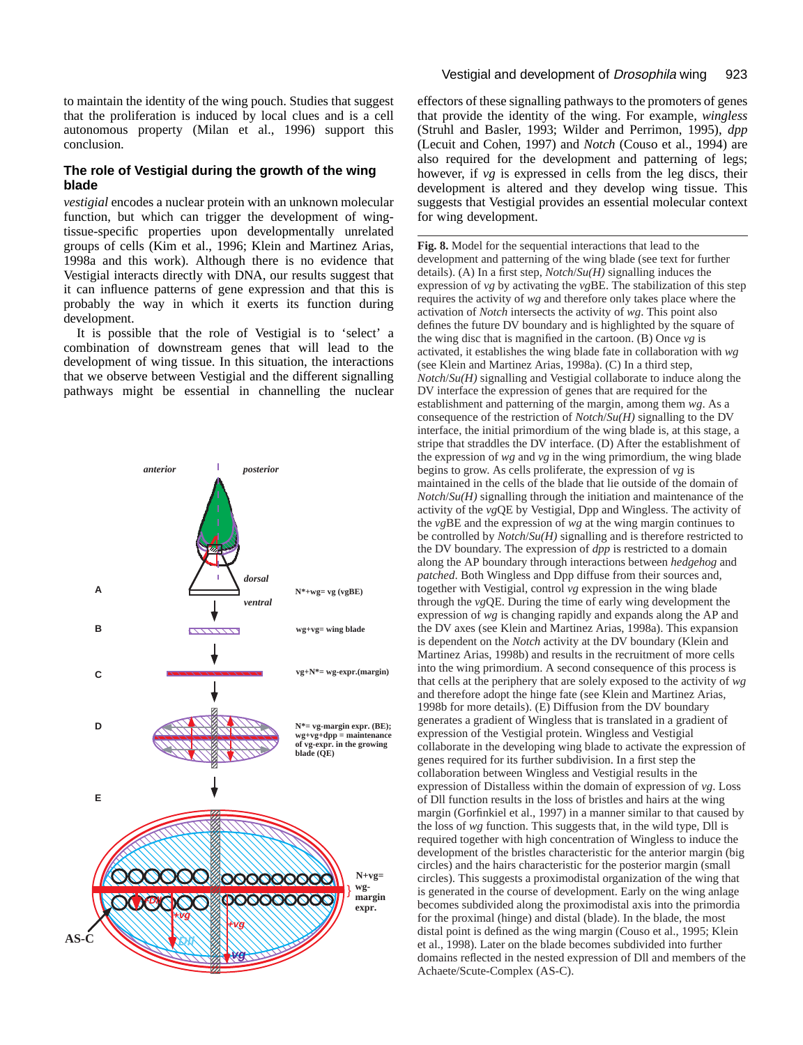to maintain the identity of the wing pouch. Studies that suggest that the proliferation is induced by local clues and is a cell autonomous property (Milan et al., 1996) support this conclusion.

### **The role of Vestigial during the growth of the wing blade**

*vestigial* encodes a nuclear protein with an unknown molecular function, but which can trigger the development of wingtissue-specific properties upon developmentally unrelated groups of cells (Kim et al., 1996; Klein and Martinez Arias, 1998a and this work). Although there is no evidence that Vestigial interacts directly with DNA, our results suggest that it can influence patterns of gene expression and that this is probably the way in which it exerts its function during development.

It is possible that the role of Vestigial is to 'select' a combination of downstream genes that will lead to the development of wing tissue. In this situation, the interactions that we observe between Vestigial and the different signalling pathways might be essential in channelling the nuclear



effectors of these signalling pathways to the promoters of genes that provide the identity of the wing. For example, *wingless* (Struhl and Basler, 1993; Wilder and Perrimon, 1995), *dpp* (Lecuit and Cohen, 1997) and *Notch* (Couso et al., 1994) are also required for the development and patterning of legs; however, if *vg* is expressed in cells from the leg discs, their development is altered and they develop wing tissue. This suggests that Vestigial provides an essential molecular context for wing development.

**Fig. 8.** Model for the sequential interactions that lead to the development and patterning of the wing blade (see text for further details). (A) In a first step, *Notch*/*Su(H)* signalling induces the expression of *vg* by activating the *vg*BE. The stabilization of this step requires the activity of *wg* and therefore only takes place where the activation of *Notch* intersects the activity of *wg*. This point also defines the future DV boundary and is highlighted by the square of the wing disc that is magnified in the cartoon. (B) Once *vg* is activated, it establishes the wing blade fate in collaboration with *wg* (see Klein and Martinez Arias, 1998a). (C) In a third step, *Notch*/*Su(H)* signalling and Vestigial collaborate to induce along the DV interface the expression of genes that are required for the establishment and patterning of the margin, among them *wg*. As a consequence of the restriction of *Notch*/*Su(H)* signalling to the DV interface, the initial primordium of the wing blade is, at this stage, a stripe that straddles the DV interface. (D) After the establishment of the expression of *wg* and *vg* in the wing primordium, the wing blade begins to grow. As cells proliferate, the expression of *vg* is maintained in the cells of the blade that lie outside of the domain of *Notch*/*Su(H)* signalling through the initiation and maintenance of the activity of the *vg*QE by Vestigial, Dpp and Wingless. The activity of the *vg*BE and the expression of *wg* at the wing margin continues to be controlled by *Notch*/*Su(H)* signalling and is therefore restricted to the DV boundary. The expression of *dpp* is restricted to a domain along the AP boundary through interactions between *hedgehog* and *patched*. Both Wingless and Dpp diffuse from their sources and, together with Vestigial, control *vg* expression in the wing blade through the *vg*QE. During the time of early wing development the expression of *wg* is changing rapidly and expands along the AP and the DV axes (see Klein and Martinez Arias, 1998a). This expansion is dependent on the *Notch* activity at the DV boundary (Klein and Martinez Arias, 1998b) and results in the recruitment of more cells into the wing primordium. A second consequence of this process is that cells at the periphery that are solely exposed to the activity of *wg* and therefore adopt the hinge fate (see Klein and Martinez Arias, 1998b for more details). (E) Diffusion from the DV boundary generates a gradient of Wingless that is translated in a gradient of expression of the Vestigial protein. Wingless and Vestigial collaborate in the developing wing blade to activate the expression of genes required for its further subdivision. In a first step the collaboration between Wingless and Vestigial results in the expression of Distalless within the domain of expression of *vg*. Loss of Dll function results in the loss of bristles and hairs at the wing margin (Gorfinkiel et al., 1997) in a manner similar to that caused by the loss of *wg* function. This suggests that, in the wild type, Dll is required together with high concentration of Wingless to induce the development of the bristles characteristic for the anterior margin (big circles) and the hairs characteristic for the posterior margin (small circles). This suggests a proximodistal organization of the wing that is generated in the course of development. Early on the wing anlage becomes subdivided along the proximodistal axis into the primordia for the proximal (hinge) and distal (blade). In the blade, the most distal point is defined as the wing margin (Couso et al., 1995; Klein et al., 1998). Later on the blade becomes subdivided into further domains reflected in the nested expression of Dll and members of the Achaete/Scute-Complex (AS-C).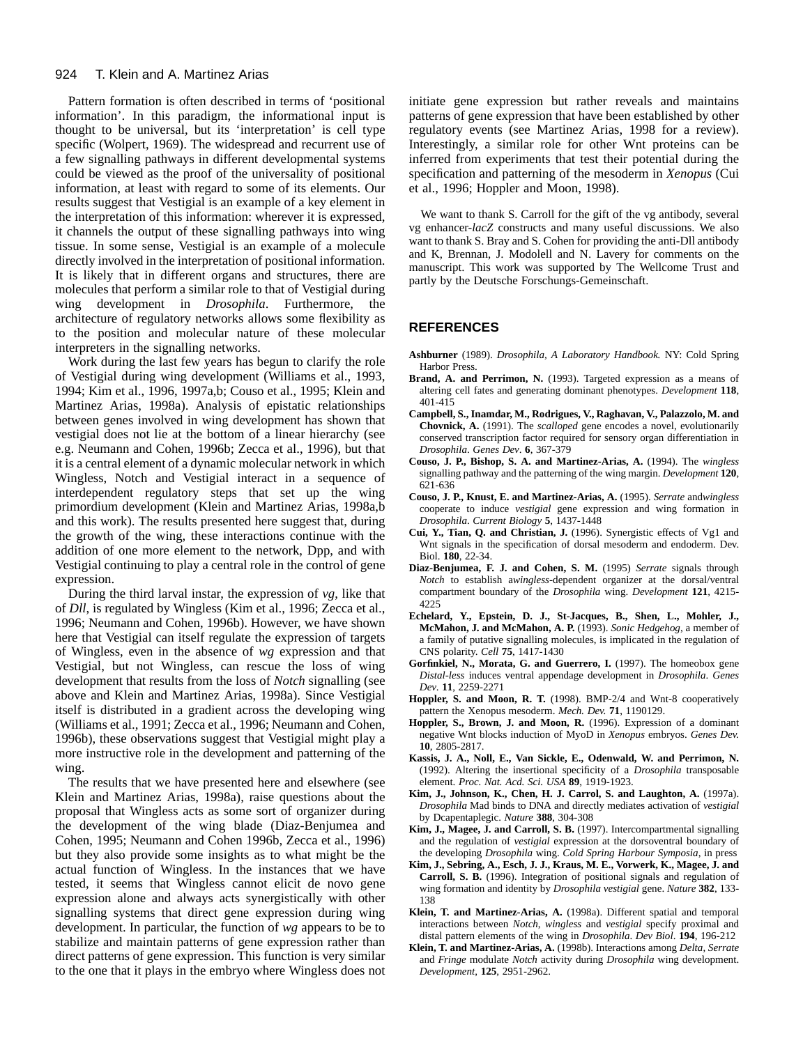#### 924 T. Klein and A. Martinez Arias

Pattern formation is often described in terms of 'positional information'. In this paradigm, the informational input is thought to be universal, but its 'interpretation' is cell type specific (Wolpert, 1969). The widespread and recurrent use of a few signalling pathways in different developmental systems could be viewed as the proof of the universality of positional information, at least with regard to some of its elements. Our results suggest that Vestigial is an example of a key element in the interpretation of this information: wherever it is expressed, it channels the output of these signalling pathways into wing tissue. In some sense, Vestigial is an example of a molecule directly involved in the interpretation of positional information. It is likely that in different organs and structures, there are molecules that perform a similar role to that of Vestigial during wing development in *Drosophila*. Furthermore, the architecture of regulatory networks allows some flexibility as to the position and molecular nature of these molecular interpreters in the signalling networks.

Work during the last few years has begun to clarify the role of Vestigial during wing development (Williams et al., 1993, 1994; Kim et al., 1996, 1997a,b; Couso et al., 1995; Klein and Martinez Arias, 1998a). Analysis of epistatic relationships between genes involved in wing development has shown that vestigial does not lie at the bottom of a linear hierarchy (see e.g. Neumann and Cohen, 1996b; Zecca et al., 1996), but that it is a central element of a dynamic molecular network in which Wingless, Notch and Vestigial interact in a sequence of interdependent regulatory steps that set up the wing primordium development (Klein and Martinez Arias, 1998a,b and this work). The results presented here suggest that, during the growth of the wing, these interactions continue with the addition of one more element to the network, Dpp, and with Vestigial continuing to play a central role in the control of gene expression.

During the third larval instar, the expression of *vg*, like that of *Dll*, is regulated by Wingless (Kim et al., 1996; Zecca et al., 1996; Neumann and Cohen, 1996b). However, we have shown here that Vestigial can itself regulate the expression of targets of Wingless, even in the absence of *wg* expression and that Vestigial, but not Wingless, can rescue the loss of wing development that results from the loss of *Notch* signalling (see above and Klein and Martinez Arias, 1998a). Since Vestigial itself is distributed in a gradient across the developing wing (Williams et al., 1991; Zecca et al., 1996; Neumann and Cohen, 1996b), these observations suggest that Vestigial might play a more instructive role in the development and patterning of the wing.

The results that we have presented here and elsewhere (see Klein and Martinez Arias, 1998a), raise questions about the proposal that Wingless acts as some sort of organizer during the development of the wing blade (Diaz-Benjumea and Cohen, 1995; Neumann and Cohen 1996b, Zecca et al., 1996) but they also provide some insights as to what might be the actual function of Wingless. In the instances that we have tested, it seems that Wingless cannot elicit de novo gene expression alone and always acts synergistically with other signalling systems that direct gene expression during wing development. In particular, the function of *wg* appears to be to stabilize and maintain patterns of gene expression rather than direct patterns of gene expression. This function is very similar to the one that it plays in the embryo where Wingless does not

initiate gene expression but rather reveals and maintains patterns of gene expression that have been established by other regulatory events (see Martinez Arias, 1998 for a review). Interestingly, a similar role for other Wnt proteins can be inferred from experiments that test their potential during the specification and patterning of the mesoderm in *Xenopus* (Cui et al., 1996; Hoppler and Moon, 1998).

We want to thank S. Carroll for the gift of the vg antibody, several vg enhancer-*lacZ* constructs and many useful discussions. We also want to thank S. Bray and S. Cohen for providing the anti-Dll antibody and K, Brennan, J. Modolell and N. Lavery for comments on the manuscript. This work was supported by The Wellcome Trust and partly by the Deutsche Forschungs-Gemeinschaft.

#### **REFERENCES**

- **Ashburner** (1989). *Drosophila, A Laboratory Handbook.* NY: Cold Spring Harbor Press.
- Brand, A. and Perrimon, N. (1993). Targeted expression as a means of altering cell fates and generating dominant phenotypes. *Development* **118**, 401-415
- **Campbell, S., Inamdar, M., Rodrigues, V., Raghavan, V., Palazzolo, M. and Chovnick, A.** (1991). The *scalloped* gene encodes a novel, evolutionarily conserved transcription factor required for sensory organ differentiation in *Drosophila*. *Genes Dev*. **6**, 367-379
- **Couso, J. P., Bishop, S. A. and Martinez-Arias, A.** (1994). The *wingless* signalling pathway and the patterning of the wing margin. *Development* **120**, 621-636
- **Couso, J. P., Knust, E. and Martinez-Arias, A.** (1995). *Serrate* and*wingless* cooperate to induce *vestigial* gene expression and wing formation in *Drosophila*. *Current Biology* **5**, 1437-1448
- **Cui, Y., Tian, Q. and Christian, J.** (1996). Synergistic effects of Vg1 and Wnt signals in the specification of dorsal mesoderm and endoderm. Dev. Biol. **180**, 22-34.
- **Diaz-Benjumea, F. J. and Cohen, S. M.** (1995) *Serrate* signals through *Notch* to establish a*wingless*-dependent organizer at the dorsal/ventral compartment boundary of the *Drosophila* wing. *Development* **121**, 4215-  $4225$
- **Echelard, Y., Epstein, D. J., St-Jacques, B., Shen, L., Mohler, J., McMahon, J. and McMahon, A. P.** (1993). *Sonic Hedgehog*, a member of a family of putative signalling molecules, is implicated in the regulation of CNS polarity. *Cell* **75**, 1417-1430
- Gorfinkiel, N., Morata, G. and Guerrero, I. (1997). The homeobox gene *Distal-less* induces ventral appendage development in *Drosophila*. *Genes Dev*. **11**, 2259-2271
- **Hoppler, S. and Moon, R. T.** (1998). BMP-2/4 and Wnt-8 cooperatively pattern the Xenopus mesoderm. *Mech. Dev.* **71**, 1190129.
- **Hoppler, S., Brown, J. and Moon, R.** (1996). Expression of a dominant negative Wnt blocks induction of MyoD in *Xenopus* embryos. *Genes Dev.* **10**, 2805-2817.
- **Kassis, J. A., Noll, E., Van Sickle, E., Odenwald, W. and Perrimon, N.** (1992). Altering the insertional specificity of a *Drosophila* transposable element. *Proc. Nat. Acd. Sci. USA* **89**, 1919-1923.
- **Kim, J., Johnson, K., Chen, H. J. Carrol, S. and Laughton, A.** (1997a). *Drosophila* Mad binds to DNA and directly mediates activation of *vestigial* by Dcapentaplegic. *Nature* **388**, 304-308
- **Kim, J., Magee, J. and Carroll, S. B.** (1997). Intercompartmental signalling and the regulation of *vestigial* expression at the dorsoventral boundary of the developing *Drosophila* wing. *Cold Spring Harbour Symposia*, in press
- **Kim, J., Sebring, A., Esch, J. J., Kraus, M. E., Vorwerk, K., Magee, J. and Carroll, S. B.** (1996). Integration of positional signals and regulation of wing formation and identity by *Drosophila vestigial* gene. *Nature* **382**, 133- 138
- **Klein, T. and Martinez-Arias, A.** (1998a). Different spatial and temporal interactions between *Notch*, *wingless* and *vestigial* specify proximal and distal pattern elements of the wing in *Drosophila*. *Dev Biol*. **194**, 196-212
- **Klein, T. and Martinez-Arias, A.** (1998b). Interactions among *Delta*, *Serrate* and *Fringe* modulate *Notch* activity during *Drosophila* wing development. *Development*, **125**, 2951-2962.